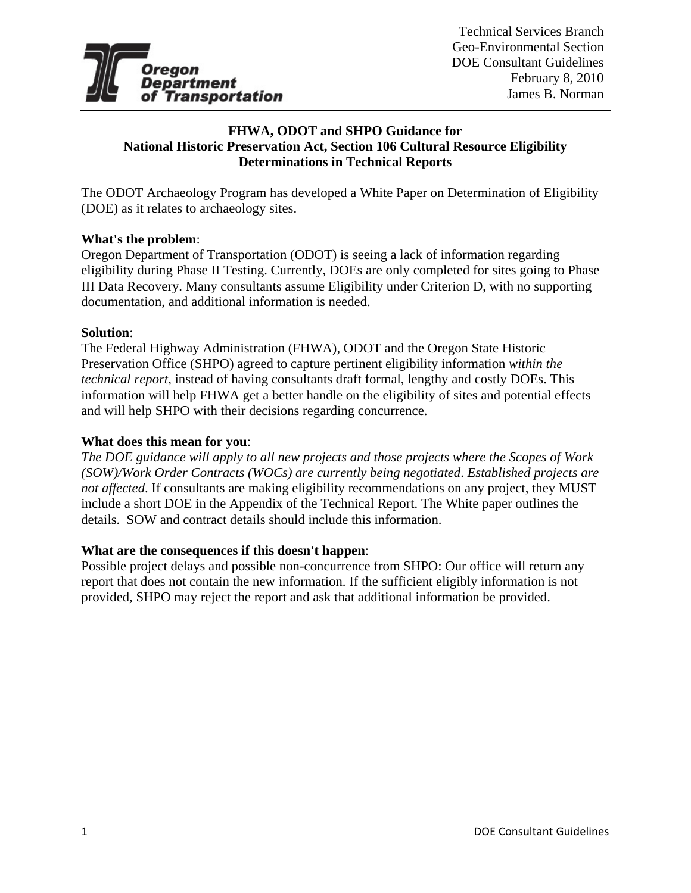

# **FHWA, ODOT and SHPO Guidance for National Historic Preservation Act, Section 106 Cultural Resource Eligibility Determinations in Technical Reports**

The ODOT Archaeology Program has developed a White Paper on Determination of Eligibility (DOE) as it relates to archaeology sites.

## **What's the problem**:

Oregon Department of Transportation (ODOT) is seeing a lack of information regarding eligibility during Phase II Testing. Currently, DOEs are only completed for sites going to Phase III Data Recovery. Many consultants assume Eligibility under Criterion D, with no supporting documentation, and additional information is needed.

#### **Solution**:

The Federal Highway Administration (FHWA), ODOT and the Oregon State Historic Preservation Office (SHPO) agreed to capture pertinent eligibility information *within the technical report*, instead of having consultants draft formal, lengthy and costly DOEs. This information will help FHWA get a better handle on the eligibility of sites and potential effects and will help SHPO with their decisions regarding concurrence.

#### **What does this mean for you**:

*The DOE guidance will apply to all new projects and those projects where the Scopes of Work (SOW)/Work Order Contracts (WOCs) are currently being negotiated*. *Established projects are not affected*. If consultants are making eligibility recommendations on any project, they MUST include a short DOE in the Appendix of the Technical Report. The White paper outlines the details. SOW and contract details should include this information.

#### **What are the consequences if this doesn't happen**:

Possible project delays and possible non-concurrence from SHPO: Our office will return any report that does not contain the new information. If the sufficient eligibly information is not provided, SHPO may reject the report and ask that additional information be provided.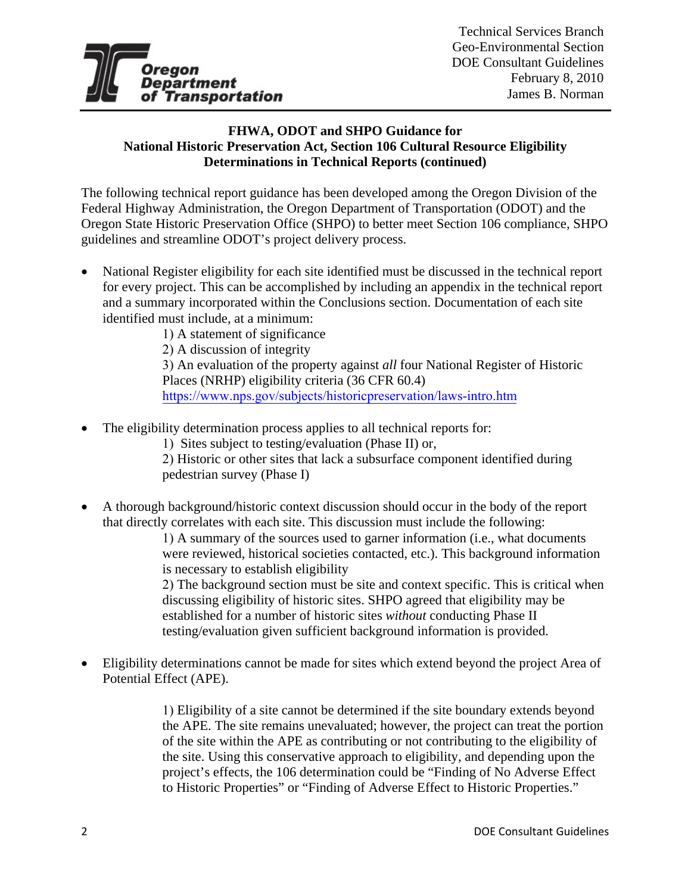

# **FHWA, ODOT and SHPO Guidance for National Historic Preservation Act, Section 106 Cultural Resource Eligibility Determinations in Technical Reports (continued)**

The following technical report guidance has been developed among the Oregon Division of the Federal Highway Administration, the Oregon Department of Transportation (ODOT) and the Oregon State Historic Preservation Office (SHPO) to better meet Section 106 compliance, SHPO guidelines and streamline ODOT's project delivery process.

• National Register eligibility for each site identified must be discussed in the technical report for every project. This can be accomplished by including an appendix in the technical report and a summary incorporated within the Conclusions section. Documentation of each site identified must include, at a minimum:

1) A statement of significance 2) A discussion of integrity 3) An evaluation of the property against *all* four National Register of Historic Places (NRHP) eligibility criteria (36 CFR 60.4) https://www.nps.gov/subjects/historicpreservation/laws-intro.htm

- The eligibility determination process applies to all technical reports for:
	- 1) Sites subject to testing/evaluation (Phase II) or,

2) Historic or other sites that lack a subsurface component identified during pedestrian survey (Phase I)

• A thorough background/historic context discussion should occur in the body of the report that directly correlates with each site. This discussion must include the following:

> 1) A summary of the sources used to garner information (i.e., what documents were reviewed, historical societies contacted, etc.). This background information is necessary to establish eligibility

2) The background section must be site and context specific. This is critical when discussing eligibility of historic sites. SHPO agreed that eligibility may be established for a number of historic sites *without* conducting Phase II testing/evaluation given sufficient background information is provided.

• Eligibility determinations cannot be made for sites which extend beyond the project Area of Potential Effect (APE).

> 1) Eligibility of a site cannot be determined if the site boundary extends beyond the APE. The site remains unevaluated; however, the project can treat the portion of the site within the APE as contributing or not contributing to the eligibility of the site. Using this conservative approach to eligibility, and depending upon the project's effects, the 106 determination could be "Finding of No Adverse Effect to Historic Properties" or "Finding of Adverse Effect to Historic Properties."